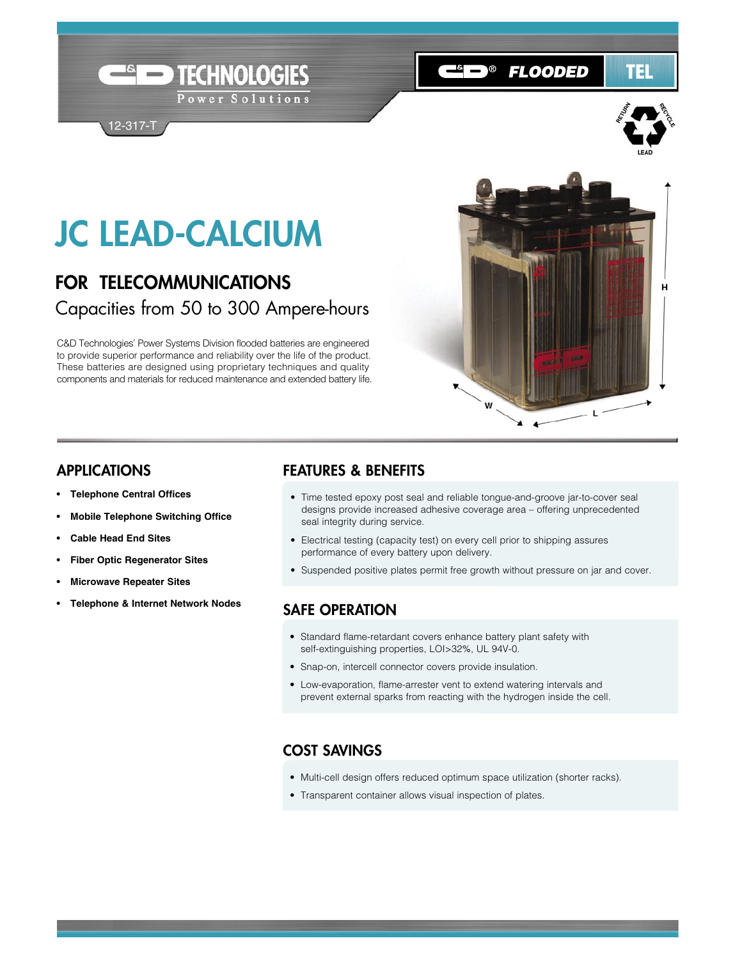# JC LEAD-CALCIUM

12-317-T

## FOR TELECOMMUNICATIONS Capacities from 50 to 300 Ampere-hours

TECHNOLOGIES

Power Solutions

C&D Technologies' Power Systems Division flooded batteries are engineered to provide superior performance and reliability over the life of the product. These batteries are designed using proprietary techniques and quality components and materials for reduced maintenance and extended battery life.



**C**in® Flooded

TEL

#### APPLICATIONS

- **Telephone Central Offices**
- **• Mobile Telephone Switching Office**
- **• Cable Head End Sites**
- **• Fiber Optic Regenerator Sites**
- **• Microwave Repeater Sites**
- **• Telephone & Internet Network Nodes**

#### FEATURES & BENEFITS

- Time tested epoxy post seal and reliable tongue-and-groove jar-to-cover seal designs provide increased adhesive coverage area – offering unprecedented seal integrity during service.
- Electrical testing (capacity test) on every cell prior to shipping assures performance of every battery upon delivery.
- Suspended positive plates permit free growth without pressure on jar and cover.

#### SAFE OPERATION

- Standard flame-retardant covers enhance battery plant safety with self-extinguishing properties, LOI>32%, UL 94V-0.
- Snap-on, intercell connector covers provide insulation.
- Low-evaporation, flame-arrester vent to extend watering intervals and prevent external sparks from reacting with the hydrogen inside the cell.

### COST SAVINGS

- Multi-cell design offers reduced optimum space utilization (shorter racks).
- Transparent container allows visual inspection of plates.